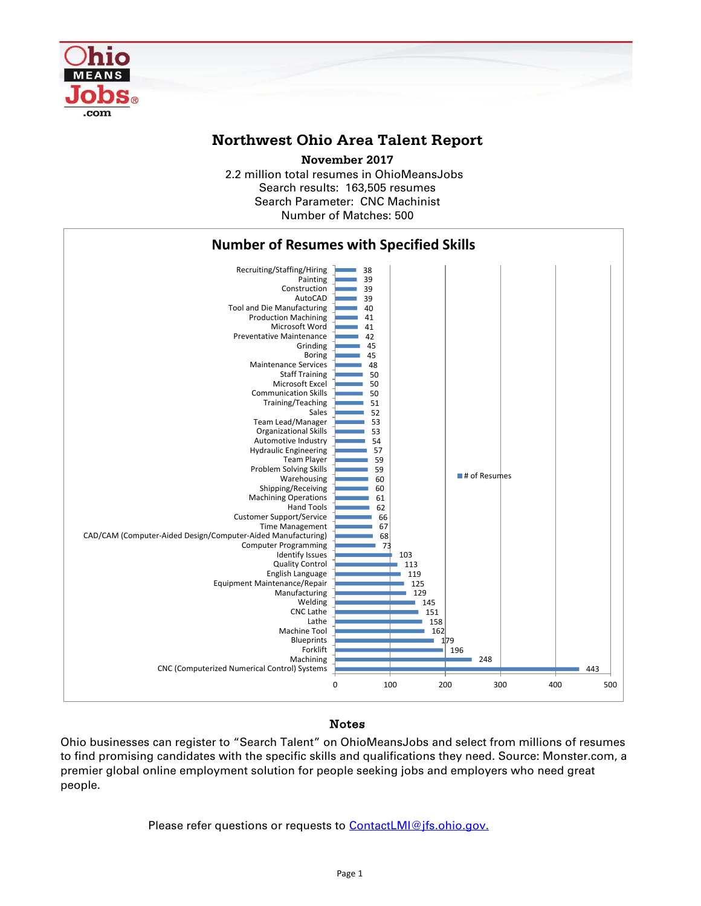

## **Northwest Ohio Area Talent Report**

2.2 million total resumes in OhioMeansJobs Search results: 163,505 resumes Number of Matches: 500 **November 2017** Search Parameter: CNC Machinist



## Notes

Ohio businesses can register to "Search Talent" on OhioMeansJobs and select from millions of resumes to find promising candidates with the specific skills and qualifications they need. Source: Monster.com, a premier global online employment solution for people seeking jobs and employers who need great people.

Please refer questions or requests to [ContactLMI@jfs.ohio.gov.](mailto:ContactLMI@jfs.ohio.gov.)